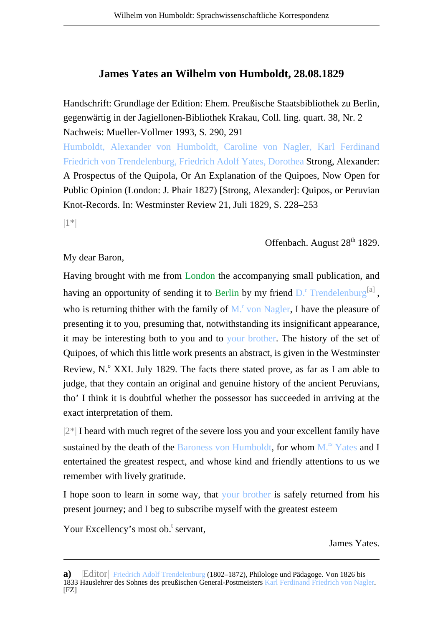## **James Yates an Wilhelm von Humboldt, 28.08.1829**

Handschrift: Grundlage der Edition: Ehem. Preußische Staatsbibliothek zu Berlin, gegenwärtig in der Jagiellonen-Bibliothek Krakau, Coll. ling. quart. 38, Nr. 2 Nachweis: Mueller-Vollmer 1993, S. 290, 291

Humboldt, Alexander von Humboldt, Caroline von Nagler, Karl Ferdinand Friedrich von Trendelenburg, Friedrich Adolf Yates, Dorothea Strong, Alexander: A Prospectus of the Quipola, Or An Explanation of the Quipoes, Now Open for Public Opinion (London: J. Phair 1827) [Strong, Alexander]: Quipos, or Peruvian Knot-Records. In: Westminster Review 21, Juli 1829, S. 228–253

|1\*|

## Offenbach. August 28<sup>th</sup> 1829.

## My dear Baron,

Having brought with me from London the accompanying small publication, and having an opportunity of sending it to Berlin by my friend  $D^{\text{r}}$  Trendelenburg<sup>[a]</sup>, who is returning thither with the family of  $M<sup>r</sup>$  von Nagler, I have the pleasure of presenting it to you, presuming that, notwithstanding its insignificant appearance, it may be interesting both to you and to your brother. The history of the set of Quipoes, of which this little work presents an abstract, is given in the Westminster Review, N.º XXI. July 1829. The facts there stated prove, as far as I am able to judge, that they contain an original and genuine history of the ancient Peruvians, tho' I think it is doubtful whether the possessor has succeeded in arriving at the exact interpretation of them.

 $|2^*|$  I heard with much regret of the severe loss you and your excellent family have sustained by the death of the Baroness von Humboldt, for whom  $M<sup>rs</sup>$  Yates and I entertained the greatest respect, and whose kind and friendly attentions to us we remember with lively gratitude.

I hope soon to learn in some way, that your brother is safely returned from his present journey; and I beg to subscribe myself with the greatest esteem

Your Excellency's most ob.<sup>t</sup> servant,

James Yates.

**a)** |Editor| Friedrich Adolf Trendelenburg (1802–1872), Philologe und Pädagoge. Von 1826 bis 1833 Hauslehrer des Sohnes des preußischen General-Postmeisters Karl Ferdinand Friedrich von Nagler.  $[FZ]$